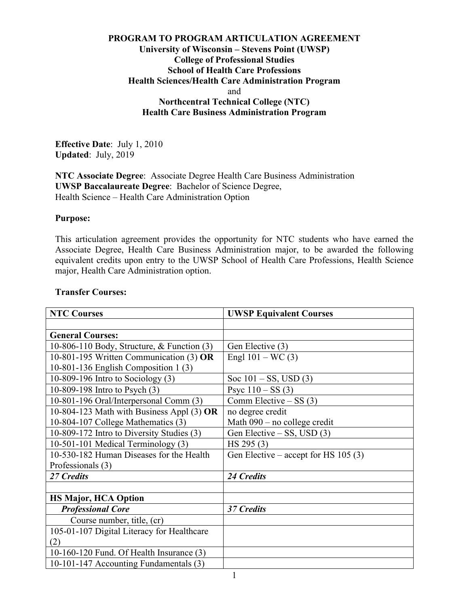# **PROGRAM TO PROGRAM ARTICULATION AGREEMENT University of Wisconsin – Stevens Point (UWSP) College of Professional Studies School of Health Care Professions Health Sciences/Health Care Administration Program** and **Northcentral Technical College (NTC) Health Care Business Administration Program**

**Effective Date**: July 1, 2010 **Updated**: July, 2019

**NTC Associate Degree**: Associate Degree Health Care Business Administration **UWSP Baccalaureate Degree**: Bachelor of Science Degree, Health Science – Health Care Administration Option

#### **Purpose:**

This articulation agreement provides the opportunity for NTC students who have earned the Associate Degree, Health Care Business Administration major, to be awarded the following equivalent credits upon entry to the UWSP School of Health Care Professions, Health Science major, Health Care Administration option.

#### **Transfer Courses:**

| <b>NTC Courses</b>                          | <b>UWSP Equivalent Courses</b>        |
|---------------------------------------------|---------------------------------------|
|                                             |                                       |
| <b>General Courses:</b>                     |                                       |
| 10-806-110 Body, Structure, & Function (3)  | Gen Elective (3)                      |
| 10-801-195 Written Communication (3) OR     | Engl $101 - WC(3)$                    |
| 10-801-136 English Composition 1 (3)        |                                       |
| 10-809-196 Intro to Sociology (3)           | Soc $101 - SS$ , USD $(3)$            |
| 10-809-198 Intro to Psych (3)               | Psyc $110 - SS(3)$                    |
| 10-801-196 Oral/Interpersonal Comm (3)      | Comm Elective $-$ SS (3)              |
| 10-804-123 Math with Business Appl $(3)$ OR | no degree credit                      |
| 10-804-107 College Mathematics (3)          | Math $090$ – no college credit        |
| 10-809-172 Intro to Diversity Studies (3)   | Gen Elective – SS, USD (3)            |
| 10-501-101 Medical Terminology (3)          | HS 295(3)                             |
| 10-530-182 Human Diseases for the Health    | Gen Elective – accept for HS $105(3)$ |
| Professionals (3)                           |                                       |
| 27 Credits                                  | 24 Credits                            |
|                                             |                                       |
| <b>HS Major, HCA Option</b>                 |                                       |
| <b>Professional Core</b>                    | 37 Credits                            |
| Course number, title, (cr)                  |                                       |
| 105-01-107 Digital Literacy for Healthcare  |                                       |
| (2)                                         |                                       |
| 10-160-120 Fund. Of Health Insurance (3)    |                                       |
| 10-101-147 Accounting Fundamentals (3)      |                                       |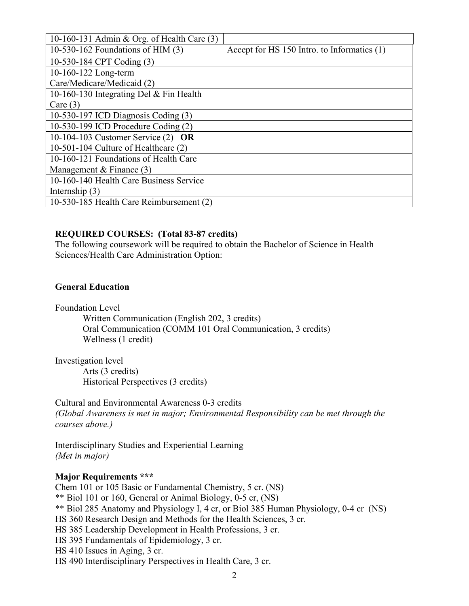| 10-160-131 Admin & Org. of Health Care (3) |                                             |
|--------------------------------------------|---------------------------------------------|
| 10-530-162 Foundations of HIM $(3)$        | Accept for HS 150 Intro. to Informatics (1) |
| 10-530-184 CPT Coding (3)                  |                                             |
| 10-160-122 Long-term                       |                                             |
| Care/Medicare/Medicaid (2)                 |                                             |
| 10-160-130 Integrating Del & Fin Health    |                                             |
| Care $(3)$                                 |                                             |
| 10-530-197 ICD Diagnosis Coding (3)        |                                             |
| 10-530-199 ICD Procedure Coding (2)        |                                             |
| 10-104-103 Customer Service $(2)$ OR       |                                             |
| 10-501-104 Culture of Healthcare $(2)$     |                                             |
| 10-160-121 Foundations of Health Care      |                                             |
| Management & Finance $(3)$                 |                                             |
| 10-160-140 Health Care Business Service    |                                             |
| Internship $(3)$                           |                                             |
| 10-530-185 Health Care Reimbursement (2)   |                                             |

## **REQUIRED COURSES: (Total 83-87 credits)**

The following coursework will be required to obtain the Bachelor of Science in Health Sciences/Health Care Administration Option:

### **General Education**

Foundation Level

Written Communication (English 202, 3 credits) Oral Communication (COMM 101 Oral Communication, 3 credits) Wellness (1 credit)

Investigation level Arts (3 credits) Historical Perspectives (3 credits)

Cultural and Environmental Awareness 0-3 credits *(Global Awareness is met in major; Environmental Responsibility can be met through the courses above.)* 

Interdisciplinary Studies and Experiential Learning *(Met in major)*

# **Major Requirements \*\*\***

Chem 101 or 105 Basic or Fundamental Chemistry, 5 cr. (NS) \*\* Biol 101 or 160, General or Animal Biology, 0-5 cr, (NS) \*\* Biol 285 Anatomy and Physiology I, 4 cr, or Biol 385 Human Physiology, 0-4 cr (NS) HS 360 Research Design and Methods for the Health Sciences, 3 cr. HS 385 Leadership Development in Health Professions, 3 cr. HS 395 Fundamentals of Epidemiology, 3 cr. HS 410 Issues in Aging, 3 cr. HS 490 Interdisciplinary Perspectives in Health Care, 3 cr.